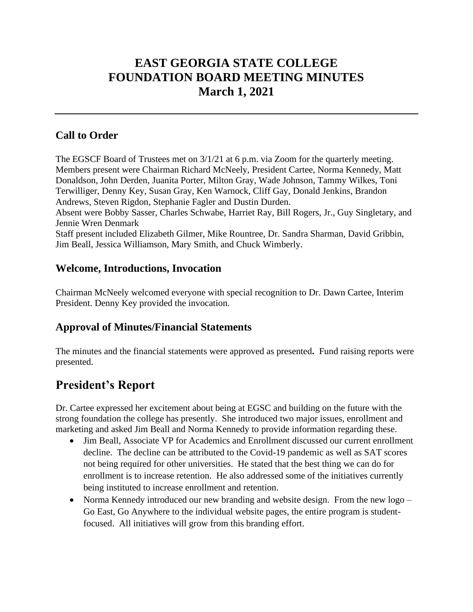# **EAST GEORGIA STATE COLLEGE FOUNDATION BOARD MEETING MINUTES March 1, 2021**

## **Call to Order**

The EGSCF Board of Trustees met on 3/1/21 at 6 p.m. via Zoom for the quarterly meeting. Members present were Chairman Richard McNeely, President Cartee, Norma Kennedy, Matt Donaldson, John Derden, Juanita Porter, Milton Gray, Wade Johnson, Tammy Wilkes, Toni Terwilliger, Denny Key, Susan Gray, Ken Warnock, Cliff Gay, Donald Jenkins, Brandon Andrews, Steven Rigdon, Stephanie Fagler and Dustin Durden. Absent were Bobby Sasser, Charles Schwabe, Harriet Ray, Bill Rogers, Jr., Guy Singletary, and Jennie Wren Denmark

Staff present included Elizabeth Gilmer, Mike Rountree, Dr. Sandra Sharman, David Gribbin, Jim Beall, Jessica Williamson, Mary Smith, and Chuck Wimberly.

## **Welcome, Introductions, Invocation**

Chairman McNeely welcomed everyone with special recognition to Dr. Dawn Cartee, Interim President. Denny Key provided the invocation.

## **Approval of Minutes/Financial Statements**

The minutes and the financial statements were approved as presented**.** Fund raising reports were presented.

## **President's Report**

Dr. Cartee expressed her excitement about being at EGSC and building on the future with the strong foundation the college has presently. She introduced two major issues, enrollment and marketing and asked Jim Beall and Norma Kennedy to provide information regarding these.

- Jim Beall, Associate VP for Academics and Enrollment discussed our current enrollment decline. The decline can be attributed to the Covid-19 pandemic as well as SAT scores not being required for other universities. He stated that the best thing we can do for enrollment is to increase retention. He also addressed some of the initiatives currently being instituted to increase enrollment and retention.
- Norma Kennedy introduced our new branding and website design. From the new logo Go East, Go Anywhere to the individual website pages, the entire program is studentfocused. All initiatives will grow from this branding effort.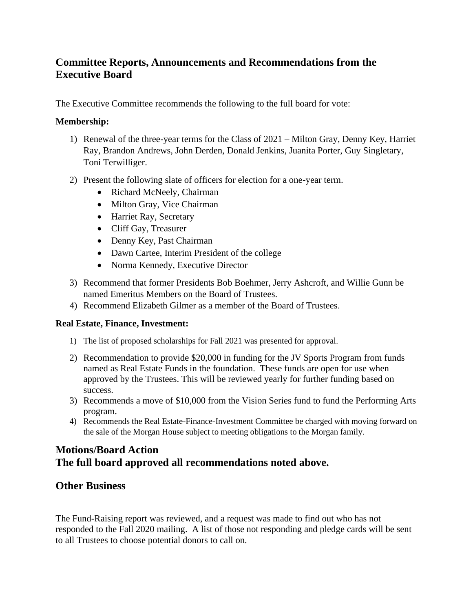## **Committee Reports, Announcements and Recommendations from the Executive Board**

The Executive Committee recommends the following to the full board for vote:

#### **Membership:**

- 1) Renewal of the three-year terms for the Class of 2021 Milton Gray, Denny Key, Harriet Ray, Brandon Andrews, John Derden, Donald Jenkins, Juanita Porter, Guy Singletary, Toni Terwilliger.
- 2) Present the following slate of officers for election for a one-year term.
	- Richard McNeely, Chairman
	- Milton Gray, Vice Chairman
	- Harriet Ray, Secretary
	- Cliff Gay, Treasurer
	- Denny Key, Past Chairman
	- Dawn Cartee, Interim President of the college
	- Norma Kennedy, Executive Director
- 3) Recommend that former Presidents Bob Boehmer, Jerry Ashcroft, and Willie Gunn be named Emeritus Members on the Board of Trustees.
- 4) Recommend Elizabeth Gilmer as a member of the Board of Trustees.

#### **Real Estate, Finance, Investment:**

- 1) The list of proposed scholarships for Fall 2021 was presented for approval.
- 2) Recommendation to provide \$20,000 in funding for the JV Sports Program from funds named as Real Estate Funds in the foundation. These funds are open for use when approved by the Trustees. This will be reviewed yearly for further funding based on success.
- 3) Recommends a move of \$10,000 from the Vision Series fund to fund the Performing Arts program.
- 4) Recommends the Real Estate-Finance-Investment Committee be charged with moving forward on the sale of the Morgan House subject to meeting obligations to the Morgan family.

## **Motions/Board Action The full board approved all recommendations noted above.**

## **Other Business**

The Fund-Raising report was reviewed, and a request was made to find out who has not responded to the Fall 2020 mailing. A list of those not responding and pledge cards will be sent to all Trustees to choose potential donors to call on.